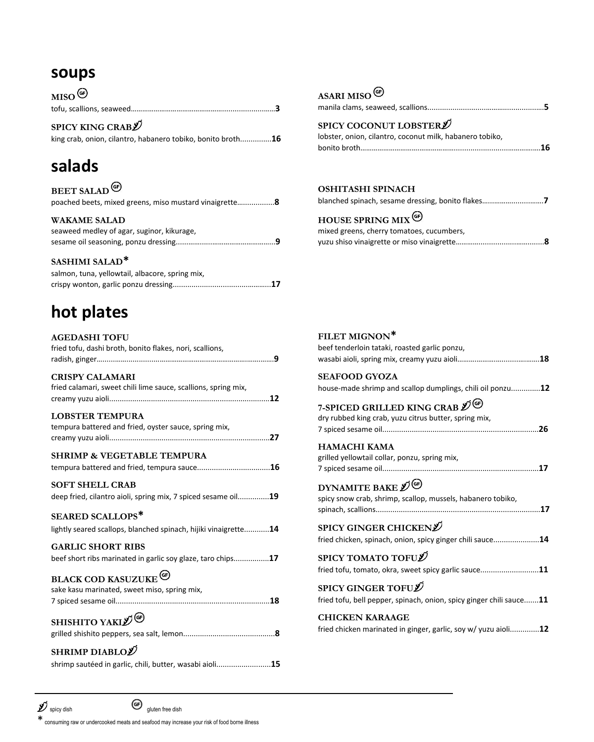# **soups**

| $MISO^{\textcircled{\#}}$ |  |
|---------------------------|--|
|                           |  |

**SPICY KING CRAB**  king crab, onion, cilantro, habanero tobiko, bonito broth...............**16**

# **salads**

| <b>BEET SALAD</b> <sup><sup><sup><sup>6</sup></sup></sup></sup>   |  |
|-------------------------------------------------------------------|--|
| poached beets, mixed greens, miso mustard vinaigrette8            |  |
| <b>WAKAME SALAD</b><br>seaweed medley of agar, suginor, kikurage, |  |
|                                                                   |  |
|                                                                   |  |

#### **SASHIMI SALAD\***

| salmon, tuna, yellowtail, albacore, spring mix, |
|-------------------------------------------------|
|                                                 |

# **hot plates**

| <b>AGEDASHI TOFU</b><br>fried tofu, dashi broth, bonito flakes, nori, scallions,           |
|--------------------------------------------------------------------------------------------|
| <b>CRISPY CALAMARI</b><br>fried calamari, sweet chili lime sauce, scallions, spring mix,   |
| <b>LOBSTER TEMPURA</b><br>tempura battered and fried, oyster sauce, spring mix,            |
| <b>SHRIMP &amp; VEGETABLE TEMPURA</b>                                                      |
| <b>SOFT SHELL CRAB</b><br>deep fried, cilantro aioli, spring mix, 7 spiced sesame oil19    |
| <b>SEARED SCALLOPS*</b><br>lightly seared scallops, blanched spinach, hijiki vinaigrette14 |
| <b>GARLIC SHORT RIBS</b><br>beef short ribs marinated in garlic soy glaze, taro chips17    |
| <b>BLACK COD KASUZUKE</b> <sup>(C)</sup><br>sake kasu marinated, sweet miso, spring mix,   |
| <b>SHISHITO YAKI</b> <sup>(G)</sup>                                                        |
| SHRIMP DIABLO $\mathscr D$<br>shrimp sautéed in garlic, chili, butter, wasabi aioli15      |

# **ASARI MISO**

| SPICY COCONUT LOBSTER <sup><sup>j</sup></sup> |  |
|-----------------------------------------------|--|

| lobster, onion, cilantro, coconut milk, habanero tobiko, |
|----------------------------------------------------------|
|                                                          |

#### **OSHITASHI SPINACH**

|  |  | blanched spinach, sesame dressing, bonito flakes7 |  |
|--|--|---------------------------------------------------|--|
|  |  |                                                   |  |

## **HOUSE SPRING MIX**

| mixed greens, cherry tomatoes, cucumbers, |  |
|-------------------------------------------|--|
|                                           |  |

| FILET MIGNON*<br>beef tenderloin tataki, roasted garlic ponzu,                                     |
|----------------------------------------------------------------------------------------------------|
|                                                                                                    |
| <b>SEAFOOD GYOZA</b><br>house-made shrimp and scallop dumplings, chili oil ponzu12                 |
| 7-SPICED GRILLED KING CRAB 2 <sup>0</sup><br>dry rubbed king crab, yuzu citrus butter, spring mix, |
| <b>HAMACHI KAMA</b><br>grilled yellowtail collar, ponzu, spring mix,                               |
| DYNAMITE BAKE $\mathscr{D}^{(G)}$<br>spicy snow crab, shrimp, scallop, mussels, habanero tobiko,   |
| SPICY GINGER CHICKEN $\mathscr D$<br>fried chicken, spinach, onion, spicy ginger chili sauce14     |
| SPICY TOMATO TOFU $\cancel{\mathscr{D}}$<br>fried tofu, tomato, okra, sweet spicy garlic sauce11   |
| SPICY GINGER TOFUL<br>fried tofu, bell pepper, spinach, onion, spicy ginger chili sauce11          |
| <b>CHICKEN KARAAGE</b><br>fried chicken marinated in ginger, garlic, soy w/ yuzu aioli12           |

\*consuming raw or undercooked meats and seafood may increase your risk of food borne illness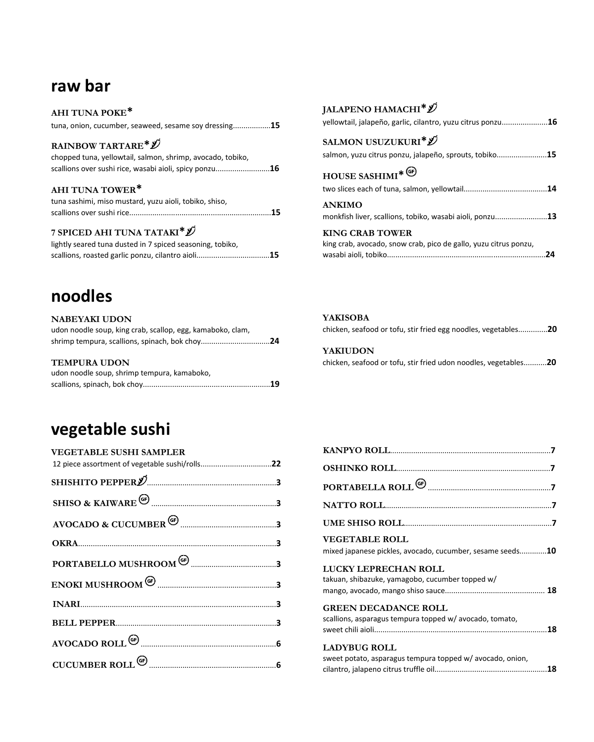# **raw bar**

| AHI TUNA POKE*                                                                                                                                                           |
|--------------------------------------------------------------------------------------------------------------------------------------------------------------------------|
| tuna, onion, cucumber, seaweed, sesame soy dressing15                                                                                                                    |
| RAINBOW TARTARE <sup>*</sup> <sup><i>D</i></sup><br>chopped tuna, yellowtail, salmon, shrimp, avocado, tobiko,<br>scallions over sushi rice, wasabi aioli, spicy ponzu16 |
| AHI TUNA TOWER*<br>tuna sashimi, miso mustard, yuzu aioli, tobiko, shiso,                                                                                                |
| 7 SPICED AHI TUNA TATAKI <sup>*</sup> <sup><i>D</i></sup><br>lightly seared tuna dusted in 7 spiced seasoning, tobiko,                                                   |

# **noodles**

| <b>NABEYAKI UDON</b>                                       |    |
|------------------------------------------------------------|----|
| udon noodle soup, king crab, scallop, egg, kamaboko, clam, |    |
|                                                            |    |
|                                                            |    |
| <b>TEMPURA UDON</b>                                        |    |
| udon noodle soup, shrimp tempura, kamaboko,                |    |
|                                                            | 19 |

## **JALAPENO HAMACHI\***

| yellowtail, jalapeño, garlic, cilantro, yuzu citrus ponzu16                                          |  |
|------------------------------------------------------------------------------------------------------|--|
| SALMON USUZUKURI <sup>*</sup> $\mathscr D$<br>salmon, yuzu citrus ponzu, jalapeño, sprouts, tobiko15 |  |
| HOUSE SASHIMI <sup>* (G)</sup>                                                                       |  |
| <b>ANKIMO</b><br>monkfish liver, scallions, tobiko, wasabi aioli, ponzu13                            |  |
| <b>KING CRAB TOWER</b><br>king crab, avocado, snow crab, pico de gallo, yuzu citrus ponzu,           |  |

| <b>YAKISOBA</b><br>chicken, seafood or tofu, stir fried egg noodles, vegetables20  |
|------------------------------------------------------------------------------------|
| <b>YAKIUDON</b><br>chicken, seafood or tofu, stir fried udon noodles, vegetables20 |

# **vegetable sushi**

| <b>VEGETABLE SUSHI SAMPLER</b> |  |
|--------------------------------|--|
|                                |  |
|                                |  |
|                                |  |
|                                |  |
|                                |  |
|                                |  |
|                                |  |
|                                |  |
|                                |  |
|                                |  |
|                                |  |
|                                |  |

| mixed japanese pickles, avocado, cucumber, sesame seeds10 |
|-----------------------------------------------------------|
|                                                           |
|                                                           |
|                                                           |
|                                                           |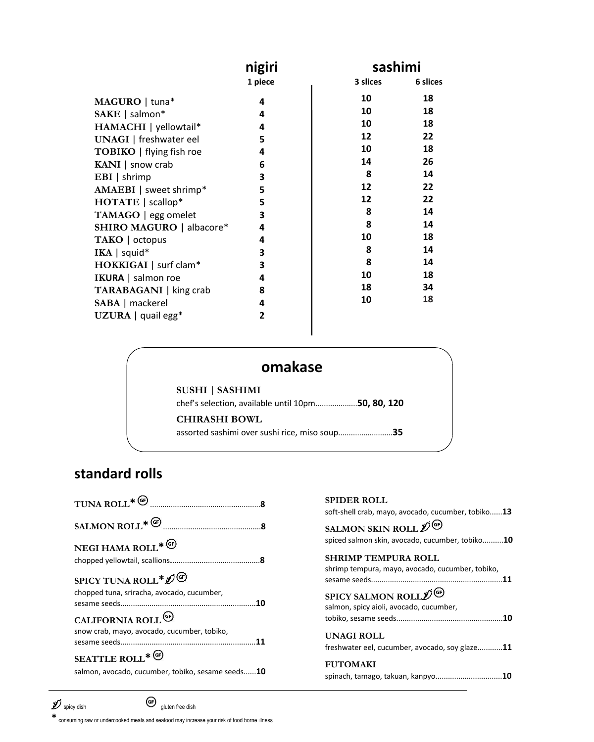|                                 | nigiri       | sashimi  |          |
|---------------------------------|--------------|----------|----------|
|                                 | 1 piece      | 3 slices | 6 slices |
| MAGURO   tuna*                  | 4            | 10       | 18       |
| SAKE   salmon*                  | 4            | 10       | 18       |
| HAMACHI   yellowtail*           | 4            | 10       | 18       |
| <b>UNAGI</b>   freshwater eel   | 5            | 12       | 22       |
| <b>TOBIKO</b>   flying fish roe | 4            | 10       | 18       |
| KANI   snow crab                | 6            | 14       | 26       |
| $EBI$   shrimp                  | 3            | 8        | 14       |
| $AMAEBI$   sweet shrimp*        | 5            | 12       | 22       |
| HOTATE   scallop*               | 5            | 12       | 22       |
| TAMAGO   egg omelet             | 3            | 8        | 14       |
| <b>SHIRO MAGURO   albacore*</b> | 4            | 8        | 14       |
| TAKO   octopus                  | 4            | 10       | 18       |
| IKA   squid*                    | 3            | 8        | 14       |
| HOKKIGAI   surf clam*           | 3            | 8        | 14       |
| IKURA   salmon roe              | 4            | 10       | 18       |
| <b>TARABAGANI</b>   king crab   | 8            | 18       | 34       |
| SABA   mackerel                 | 4            | 10       | 18       |
| UZURA   quail egg*              | $\mathbf{2}$ |          |          |

# **omakase**

**SUSHI** | **SASHIMI**

chef's selection, available until 10pm....................**50, 80, 120 CHIRASHI BOWL**

assorted sashimi over sushi rice, miso soup..........................**35**

# **standard rolls**

|                                                   | <b>SPIDER ROL</b><br>soft-shell crab, m |
|---------------------------------------------------|-----------------------------------------|
|                                                   | <b>SALMON SKI</b>                       |
| NEGI HAMA ROLL* <sup>(G)</sup>                    | spiced salmon sk                        |
|                                                   | <b>SHRIMP TEN</b>                       |
| SPICY TUNA ROLL* $\mathscr{D}^{\circledast}$      | shrimp tempura,<br>sesame seeds         |
| chopped tuna, sriracha, avocado, cucumber,        | <b>SPICY SALMO</b>                      |
| CALIFORNIA ROLL <sup>(G)</sup>                    | salmon, spicy aio<br>tobiko, sesame s   |
| snow crab, mayo, avocado, cucumber, tobiko,       | <b>UNAGI ROLI</b>                       |
|                                                   | freshwater eel, c                       |
| SEATTLE ROLL* <sup>(G)</sup>                      | <b>FUTOMAKI</b>                         |
| salmon, avocado, cucumber, tobiko, sesame seeds10 | spinach, tamago,                        |

| <b>SPIDER ROLL</b>                                 |
|----------------------------------------------------|
| soft-shell crab, mayo, avocado, cucumber, tobiko13 |
| SALMON SKIN ROLL 2                                 |
| spiced salmon skin, avocado, cucumber, tobiko10    |
| <b>SHRIMP TEMPURA ROLL</b>                         |
| shrimp tempura, mayo, avocado, cucumber, tobiko,   |
| <b>SPICY SALMON ROLL</b> O                         |
| salmon, spicy aioli, avocado, cucumber,            |
|                                                    |
| UNAGI ROLL                                         |
| freshwater eel, cucumber, avocado, soy glaze11     |
| <b>FUTOMAKI</b>                                    |
| spinach, tamago, takuan, kanpyo10                  |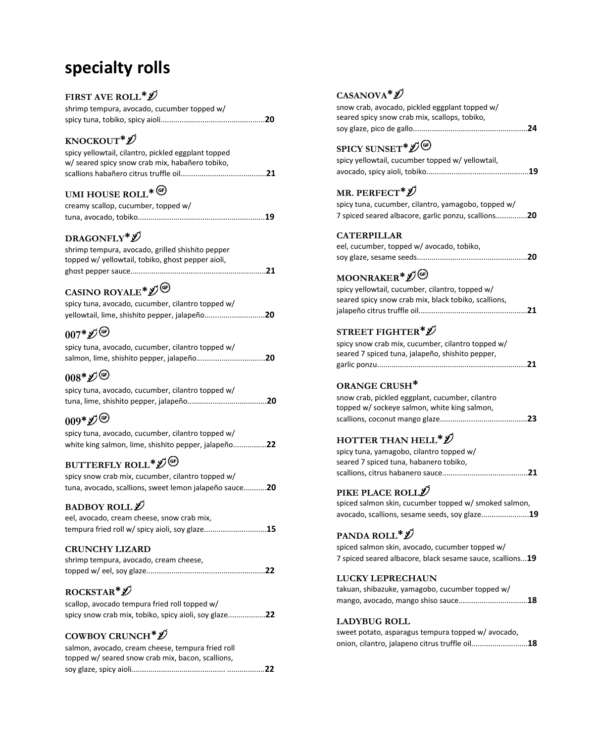# **specialty rolls**

### **FIRST AVE ROLL\***

| shrimp tempura, avocado, cucumber topped w/ |  |
|---------------------------------------------|--|
|                                             |  |

### **KNOCKOUT\***

| spicy yellowtail, cilantro, pickled eggplant topped |  |
|-----------------------------------------------------|--|
| w/ seared spicy snow crab mix, habañero tobiko,     |  |
|                                                     |  |

# **UMI HOUSE ROLL\***

| creamy scallop, cucumber, topped w/ |  |
|-------------------------------------|--|
|                                     |  |

### **DRAGONFLY\***

| shrimp tempura, avocado, grilled shishito pepper  |  |
|---------------------------------------------------|--|
| topped w/ yellowtail, tobiko, ghost pepper aioli, |  |
|                                                   |  |

# **CASINO ROYALE\***

| spicy tuna, avocado, cucumber, cilantro topped w/ |
|---------------------------------------------------|
| yellowtail, lime, shishito pepper, jalapeño20     |

## **007\***

| spicy tuna, avocado, cucumber, cilantro topped w/ |  |
|---------------------------------------------------|--|
|                                                   |  |

# **008\***

| spicy tuna, avocado, cucumber, cilantro topped w/ |  |
|---------------------------------------------------|--|
|                                                   |  |

# **009\***

| spicy tuna, avocado, cucumber, cilantro topped w/    |
|------------------------------------------------------|
| white king salmon, lime, shishito pepper, jalapeño22 |

# **BUTTERFLY ROLL\***

| spicy snow crab mix, cucumber, cilantro topped w/      |
|--------------------------------------------------------|
| tuna, avocado, scallions, sweet lemon jalapeño sauce20 |

#### **BADBOY ROLL**

| eel, avocado, cream cheese, snow crab mix,     |
|------------------------------------------------|
| tempura fried roll w/ spicy aioli, soy glaze15 |

#### **CRUNCHY LIZARD**

| shrimp tempura, avocado, cream cheese, |  |
|----------------------------------------|--|
|                                        |  |

### **ROCKSTAR\***

| scallop, avocado tempura fried roll topped w/         |
|-------------------------------------------------------|
| spicy snow crab mix, tobiko, spicy aioli, soy glaze22 |

### **COWBOY CRUNCH\***

| salmon, avocado, cream cheese, tempura fried roll |  |
|---------------------------------------------------|--|
| topped w/ seared snow crab mix, bacon, scallions. |  |
|                                                   |  |

### **CASANOVA\***

| snow crab, avocado, pickled eggplant topped w/ |
|------------------------------------------------|
| seared spicy snow crab mix, scallops, tobiko,  |
|                                                |

## **SPICY SUNSET\***

| spicy yellowtail, cucumber topped w/ yellowtail, |  |
|--------------------------------------------------|--|
|                                                  |  |

### **MR. PERFECT\***

| spicy tuna, cucumber, cilantro, yamagobo, topped w/ |  |
|-----------------------------------------------------|--|
| 7 spiced seared albacore, garlic ponzu, scallions20 |  |

#### **CATERPILLAR**

| eel, cucumber, topped w/ avocado, tobiko, |  |
|-------------------------------------------|--|
|                                           |  |

# **MOONRAKER\***

| spicy yellowtail, cucumber, cilantro, topped w/      |  |
|------------------------------------------------------|--|
| seared spicy snow crab mix, black tobiko, scallions. |  |
|                                                      |  |

### **STREET FIGHTER\***

| spicy snow crab mix, cucumber, cilantro topped w/ |  |
|---------------------------------------------------|--|
| seared 7 spiced tuna, jalapeño, shishito pepper,  |  |
|                                                   |  |

#### **ORANGE CRUSH\***

| snow crab, pickled eggplant, cucumber, cilantro |  |
|-------------------------------------------------|--|
| topped w/ sockeye salmon, white king salmon,    |  |
|                                                 |  |
|                                                 |  |

### **HOTTER THAN HELL\***

| spicy tuna, yamagobo, cilantro topped w/ |  |
|------------------------------------------|--|
| seared 7 spiced tuna, habanero tobiko,   |  |
|                                          |  |

### **PIKE PLACE ROLL**

| spiced salmon skin, cucumber topped w/ smoked salmon, |  |
|-------------------------------------------------------|--|
| avocado, scallions, sesame seeds, soy glaze19         |  |

### **PANDA ROLL\***

spiced salmon skin, avocado, cucumber topped w/ 7 spiced seared albacore, black sesame sauce, scallions...**19**

#### **LUCKY LEPRECHAUN**

|  | takuan, shibazuke, yamagobo, cucumber topped w/ |                                     |  |
|--|-------------------------------------------------|-------------------------------------|--|
|  |                                                 | mango, avocado, mango shiso sauce18 |  |

#### **LADYBUG ROLL**

| sweet potato, asparagus tempura topped w/avocado, |  |
|---------------------------------------------------|--|
| onion, cilantro, jalapeno citrus truffle oil18    |  |